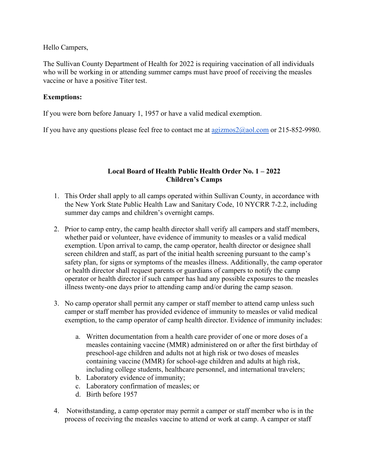Hello Campers,

The Sullivan County Department of Health for 2022 is requiring vaccination of all individuals who will be working in or attending summer camps must have proof of receiving the measles vaccine or have a positive Titer test.

## **Exemptions:**

If you were born before January 1, 1957 or have a valid medical exemption.

If you have any questions please feel free to contact me at  $a$ gizmos $2(\partial a)$  com or 215-852-9980.

## **Local Board of Health Public Health Order No. 1 – 2022 Children's Camps**

- 1. This Order shall apply to all camps operated within Sullivan County, in accordance with the New York State Public Health Law and Sanitary Code, 10 NYCRR 7-2.2, including summer day camps and children's overnight camps.
- 2. Prior to camp entry, the camp health director shall verify all campers and staff members, whether paid or volunteer, have evidence of immunity to measles or a valid medical exemption. Upon arrival to camp, the camp operator, health director or designee shall screen children and staff, as part of the initial health screening pursuant to the camp's safety plan, for signs or symptoms of the measles illness. Additionally, the camp operator or health director shall request parents or guardians of campers to notify the camp operator or health director if such camper has had any possible exposures to the measles illness twenty-one days prior to attending camp and/or during the camp season.
- 3. No camp operator shall permit any camper or staff member to attend camp unless such camper or staff member has provided evidence of immunity to measles or valid medical exemption, to the camp operator of camp health director. Evidence of immunity includes:
	- a. Written documentation from a health care provider of one or more doses of a measles containing vaccine (MMR) administered on or after the first birthday of preschool-age children and adults not at high risk or two doses of measles containing vaccine (MMR) for school-age children and adults at high risk, including college students, healthcare personnel, and international travelers;
	- b. Laboratory evidence of immunity;
	- c. Laboratory confirmation of measles; or
	- d. Birth before 1957
- 4. Notwithstanding, a camp operator may permit a camper or staff member who is in the process of receiving the measles vaccine to attend or work at camp. A camper or staff